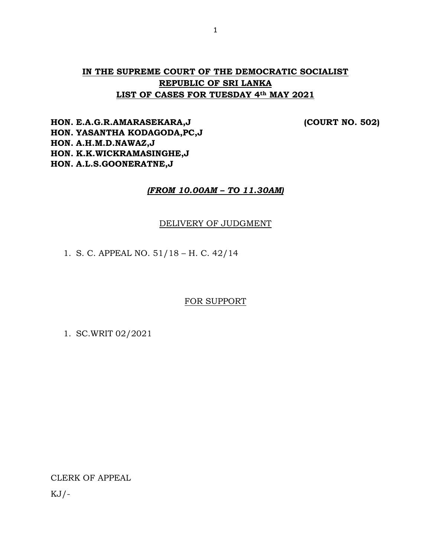# **IN THE SUPREME COURT OF THE DEMOCRATIC SOCIALIST REPUBLIC OF SRI LANKA LIST OF CASES FOR TUESDAY 4th MAY 2021**

**HON. E.A.G.R.AMARASEKARA,J (COURT NO. 502) HON. YASANTHA KODAGODA,PC,J HON. A.H.M.D.NAWAZ,J HON. K.K.WICKRAMASINGHE,J HON. A.L.S.GOONERATNE,J**

# *(FROM 10.00AM – TO 11.30AM)*

## DELIVERY OF JUDGMENT

1. S. C. APPEAL NO. 51/18 – H. C. 42/14

FOR SUPPORT

1. SC.WRIT 02/2021

CLERK OF APPEAL

 $KJ/-$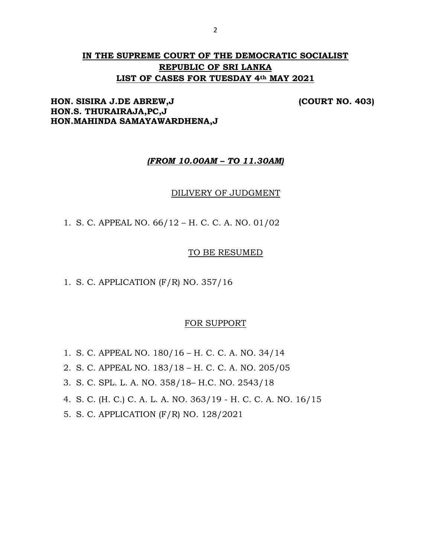# **IN THE SUPREME COURT OF THE DEMOCRATIC SOCIALIST REPUBLIC OF SRI LANKA LIST OF CASES FOR TUESDAY 4th MAY 2021**

# **HON. SISIRA J.DE ABREW,J (COURT NO. 403) HON.S. THURAIRAJA,PC,J HON.MAHINDA SAMAYAWARDHENA,J**

## *(FROM 10.00AM – TO 11.30AM)*

### DILIVERY OF JUDGMENT

1. S. C. APPEAL NO. 66/12 – H. C. C. A. NO. 01/02

## TO BE RESUMED

1. S. C. APPLICATION (F/R) NO. 357/16

## FOR SUPPORT

- 1. S. C. APPEAL NO. 180/16 H. C. C. A. NO. 34/14
- 2. S. C. APPEAL NO. 183/18 H. C. C. A. NO. 205/05
- 3. S. C. SPL. L. A. NO. 358/18– H.C. NO. 2543/18
- 4. S. C. (H. C.) C. A. L. A. NO. 363/19 H. C. C. A. NO. 16/15
- 5. S. C. APPLICATION (F/R) NO. 128/2021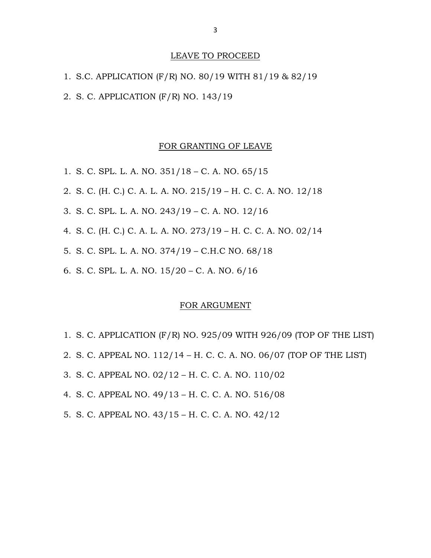# LEAVE TO PROCEED

| 1. S.C. APPLICATION (F/R) NO. 80/19 WITH 81/19 & 82/19 |  |  |  |
|--------------------------------------------------------|--|--|--|
| 2. S. C. APPLICATION (F/R) NO. 143/19                  |  |  |  |

#### FOR GRANTING OF LEAVE

- 1. S. C. SPL. L. A. NO. 351/18 C. A. NO. 65/15
- 2. S. C. (H. C.) C. A. L. A. NO. 215/19 H. C. C. A. NO. 12/18
- 3. S. C. SPL. L. A. NO. 243/19 C. A. NO. 12/16
- 4. S. C. (H. C.) C. A. L. A. NO. 273/19 H. C. C. A. NO. 02/14
- 5. S. C. SPL. L. A. NO. 374/19 C.H.C NO. 68/18
- 6. S. C. SPL. L. A. NO. 15/20 C. A. NO. 6/16

#### FOR ARGUMENT

- 1. S. C. APPLICATION (F/R) NO. 925/09 WITH 926/09 (TOP OF THE LIST)
- 2. S. C. APPEAL NO. 112/14 H. C. C. A. NO. 06/07 (TOP OF THE LIST)
- 3. S. C. APPEAL NO. 02/12 H. C. C. A. NO. 110/02
- 4. S. C. APPEAL NO. 49/13 H. C. C. A. NO. 516/08
- 5. S. C. APPEAL NO. 43/15 H. C. C. A. NO. 42/12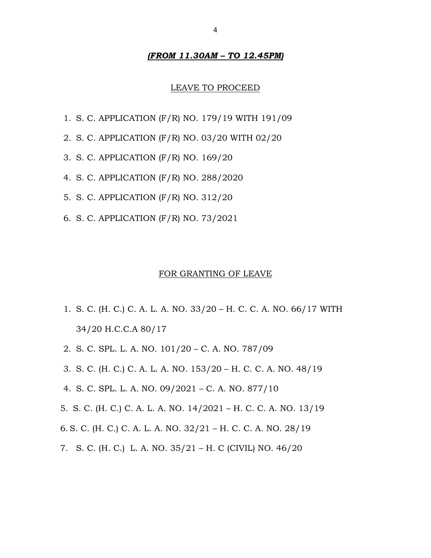## *(FROM 11.30AM – TO 12.45PM)*

#### LEAVE TO PROCEED

- 1. S. C. APPLICATION (F/R) NO. 179/19 WITH 191/09
- 2. S. C. APPLICATION (F/R) NO. 03/20 WITH 02/20
- 3. S. C. APPLICATION (F/R) NO. 169/20
- 4. S. C. APPLICATION (F/R) NO. 288/2020
- 5. S. C. APPLICATION (F/R) NO. 312/20
- 6. S. C. APPLICATION (F/R) NO. 73/2021

#### FOR GRANTING OF LEAVE

- 1. S. C. (H. C.) C. A. L. A. NO. 33/20 H. C. C. A. NO. 66/17 WITH 34/20 H.C.C.A 80/17
- 2. S. C. SPL. L. A. NO. 101/20 C. A. NO. 787/09
- 3. S. C. (H. C.) C. A. L. A. NO. 153/20 H. C. C. A. NO. 48/19
- 4. S. C. SPL. L. A. NO. 09/2021 C. A. NO. 877/10
- 5. S. C. (H. C.) C. A. L. A. NO. 14/2021 H. C. C. A. NO. 13/19
- 6. S. C. (H. C.) C. A. L. A. NO. 32/21 H. C. C. A. NO. 28/19
- 7. S. C. (H. C.) L. A. NO. 35/21 H. C (CIVIL) NO. 46/20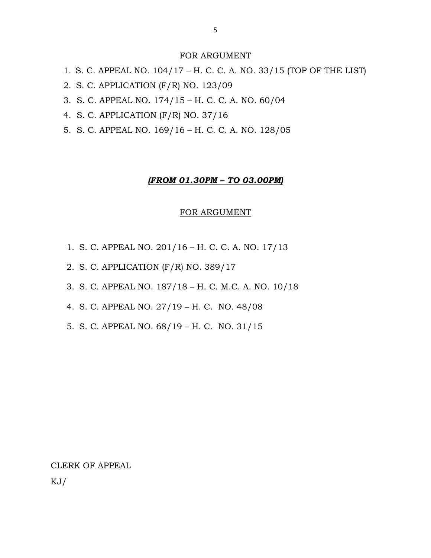# FOR ARGUMENT

- 1. S. C. APPEAL NO. 104/17 H. C. C. A. NO. 33/15 (TOP OF THE LIST)
- 2. S. C. APPLICATION (F/R) NO. 123/09
- 3. S. C. APPEAL NO. 174/15 H. C. C. A. NO. 60/04
- 4. S. C. APPLICATION (F/R) NO. 37/16
- 5. S. C. APPEAL NO. 169/16 H. C. C. A. NO. 128/05

### *(FROM 01.30PM – TO 03.00PM)*

### FOR ARGUMENT

- 1. S. C. APPEAL NO. 201/16 H. C. C. A. NO. 17/13
- 2. S. C. APPLICATION (F/R) NO. 389/17
- 3. S. C. APPEAL NO. 187/18 H. C. M.C. A. NO. 10/18
- 4. S. C. APPEAL NO. 27/19 H. C. NO. 48/08
- 5. S. C. APPEAL NO. 68/19 H. C. NO. 31/15

# CLERK OF APPEAL

KJ/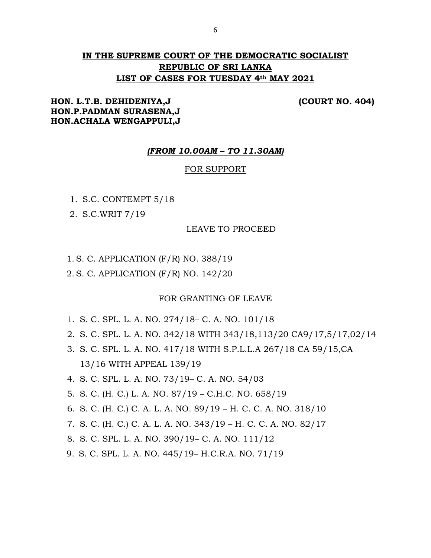# **IN THE SUPREME COURT OF THE DEMOCRATIC SOCIALIST REPUBLIC OF SRI LANKA LIST OF CASES FOR TUESDAY 4th MAY 2021**

# **HON. L.T.B. DEHIDENIYA,J (COURT NO. 404) HON.P.PADMAN SURASENA,J HON.ACHALA WENGAPPULI,J**

## *(FROM 10.00AM – TO 11.30AM)*

#### FOR SUPPORT

- 1. S.C. CONTEMPT 5/18
- 2. S.C.WRIT 7/19

#### LEAVE TO PROCEED

- 1. S. C. APPLICATION (F/R) NO. 388/19
- 2. S. C. APPLICATION (F/R) NO. 142/20

## FOR GRANTING OF LEAVE

- 1. S. C. SPL. L. A. NO. 274/18– C. A. NO. 101/18
- 2. S. C. SPL. L. A. NO. 342/18 WITH 343/18,113/20 CA9/17,5/17,02/14
- 3. S. C. SPL. L. A. NO. 417/18 WITH S.P.L.L.A 267/18 CA 59/15,CA 13/16 WITH APPEAL 139/19
- 4. S. C. SPL. L. A. NO. 73/19– C. A. NO. 54/03
- 5. S. C. (H. C.) L. A. NO. 87/19 C.H.C. NO. 658/19
- 6. S. C. (H. C.) C. A. L. A. NO. 89/19 H. C. C. A. NO. 318/10
- 7. S. C. (H. C.) C. A. L. A. NO. 343/19 H. C. C. A. NO. 82/17
- 8. S. C. SPL. L. A. NO. 390/19– C. A. NO. 111/12
- 9. S. C. SPL. L. A. NO. 445/19– H.C.R.A. NO. 71/19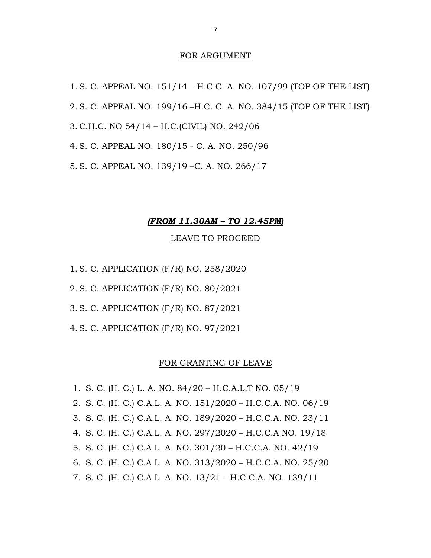#### FOR ARGUMENT

1. S. C. APPEAL NO. 151/14 – H.C.C. A. NO. 107/99 (TOP OF THE LIST) 2. S. C. APPEAL NO. 199/16 –H.C. C. A. NO. 384/15 (TOP OF THE LIST) 3. C.H.C. NO 54/14 – H.C.(CIVIL) NO. 242/06 4. S. C. APPEAL NO. 180/15 - C. A. NO. 250/96 5. S. C. APPEAL NO. 139/19 –C. A. NO. 266/17

#### *(FROM 11.30AM – TO 12.45PM)*

#### LEAVE TO PROCEED

- 1. S. C. APPLICATION (F/R) NO. 258/2020
- 2. S. C. APPLICATION (F/R) NO. 80/2021
- 3. S. C. APPLICATION (F/R) NO. 87/2021
- 4. S. C. APPLICATION (F/R) NO. 97/2021

#### FOR GRANTING OF LEAVE

1. S. C. (H. C.) L. A. NO. 84/20 – H.C.A.L.T NO. 05/19 2. S. C. (H. C.) C.A.L. A. NO. 151/2020 – H.C.C.A. NO. 06/19 3. S. C. (H. C.) C.A.L. A. NO. 189/2020 – H.C.C.A. NO. 23/11 4. S. C. (H. C.) C.A.L. A. NO. 297/2020 – H.C.C.A NO. 19/18 5. S. C. (H. C.) C.A.L. A. NO. 301/20 – H.C.C.A. NO. 42/19 6. S. C. (H. C.) C.A.L. A. NO. 313/2020 – H.C.C.A. NO. 25/20 7. S. C. (H. C.) C.A.L. A. NO. 13/21 – H.C.C.A. NO. 139/11